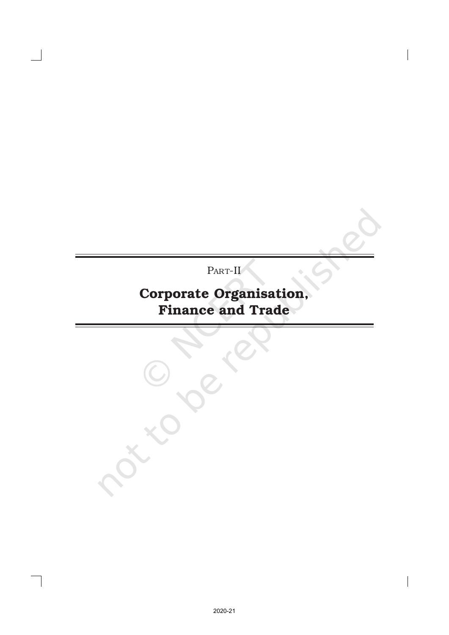PART-II<sup></sup>

# Corporate Organisation, Finance and Trade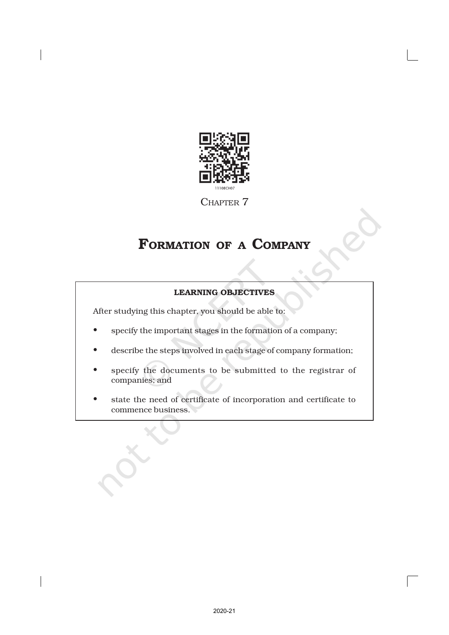

CHAPTER 7

## FORMATION OF <sup>A</sup> COMPANY

## LEARNING OBJECTIVES

After studying this chapter, you should be able to:

- specify the important stages in the formation of a company;
- describe the steps involved in each stage of company formation;
- specify the documents to be submitted to the registrar of companies; and
- state the need of certificate of incorporation and certificate to commence business.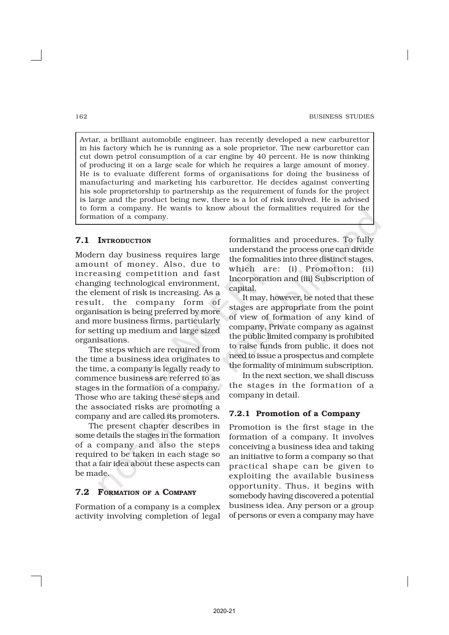Avtar, a brilliant automobile engineer, has recently developed a new carburettor in his factory which he is running as a sole proprietor. The new carburettor can cut down petrol consumption of a car engine by 40 percent. He is now thinking of producing it on a large scale for which he requires a large amount of money. He is to evaluate different forms of organisations for doing the business of manufacturing and marketing his carburettor. He decides against converting his sole proprietorship to partnership as the requirement of funds for the project is large and the product being new, there is a lot of risk involved. He is advised to form a company. He wants to know about the formalities required for the formation of a company.

## 7.1 INTRODUCTION

Modern day business requires large amount of money. Also, due to increasing competition and fast changing technological environment, the element of risk is increasing. As a result, the company form of organisation is being preferred by more and more business firms, particularly for setting up medium and large sized organisations.

The steps which are required from the time a business idea originates to the time, a company is legally ready to commence business are referred to as stages in the formation of a company. Those who are taking these steps and the associated risks are promoting a company and are called its promoters.

The present chapter describes in some details the stages in the formation of a company and also the steps required to be taken in each stage so that a fair idea about these aspects can be made.

## 7.2 FORMATION OF A COMPANY

Formation of a company is a complex activity involving completion of legal

formalities and procedures. To fully understand the process one can divide the formalities into three distinct stages, which are: (i) Promotion; (ii) Incorporation and (iii) Subscription of capital.

It may, however, be noted that these stages are appropriate from the point of view of formation of any kind of company. Private company as against the public limited company is prohibited to raise funds from public, it does not need to issue a prospectus and complete the formality of minimum subscription.

In the next section, we shall discuss the stages in the formation of a company in detail.

## 7.2.1 Promotion of a Company

Promotion is the first stage in the formation of a company. It involves conceiving a business idea and taking an initiative to form a company so that practical shape can be given to exploiting the available business opportunity. Thus, it begins with somebody having discovered a potential business idea. Any person or a group of persons or even a company may have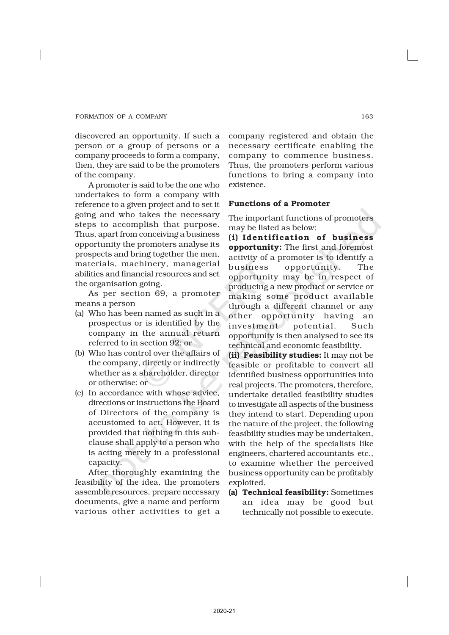discovered an opportunity. If such a person or a group of persons or a company proceeds to form a company, then, they are said to be the promoters of the company.

A promoter is said to be the one who undertakes to form a company with reference to a given project and to set it going and who takes the necessary steps to accomplish that purpose. Thus, apart from conceiving a business opportunity the promoters analyse its prospects and bring together the men, materials, machinery, managerial abilities and financial resources and set the organisation going.

As per section 69, a promoter means a person

- (a) Who has been named as such in a prospectus or is identified by the company in the annual return referred to in section 92; or
- (b) Who has control over the affairs of the company, directly or indirectly whether as a shareholder, director or otherwise; or
- (c) In accordance with whose advice, directions or instructions the Board of Directors of the company is accustomed to act. However, it is provided that nothing in this subclause shall apply to a person who is acting merely in a professional capacity.

After thoroughly examining the feasibility of the idea, the promoters assemble resources, prepare necessary documents, give a name and perform various other activities to get a

company registered and obtain the necessary certificate enabling the company to commence business. Thus, the promoters perform various functions to bring a company into existence.

## Functions of a Promoter

The important functions of promoters may be listed as below:

(i) Identification of business opportunity: The first and foremost activity of a promoter is to identify a business opportunity. The opportunity may be in respect of producing a new product or service or making some product available through a different channel or any other opportunity having an investment potential. Such opportunity is then analysed to see its technical and economic feasibility.

(ii) Feasibility studies: It may not be feasible or profitable to convert all identified business opportunities into real projects. The promoters, therefore, undertake detailed feasibility studies to investigate all aspects of the business they intend to start. Depending upon the nature of the project, the following feasibility studies may be undertaken, with the help of the specialists like engineers, chartered accountants etc., to examine whether the perceived business opportunity can be profitably exploited.

(a) Technical feasibility: Sometimes an idea may be good but technically not possible to execute.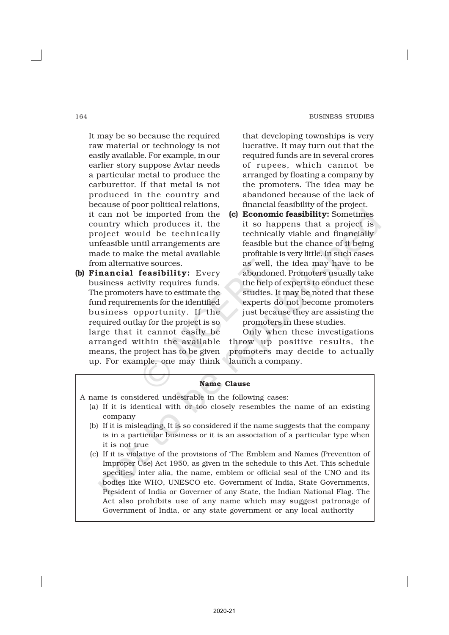#### 164 BUSINESS STUDIES

It may be so because the required raw material or technology is not easily available. For example, in our earlier story suppose Avtar needs a particular metal to produce the carburettor. If that metal is not produced in the country and because of poor political relations, it can not be imported from the country which produces it, the project would be technically unfeasible until arrangements are made to make the metal available from alternative sources.

(b) Financial feasibility: Every business activity requires funds. The promoters have to estimate the fund requirements for the identified business opportunity. If the required outlay for the project is so large that it cannot easily be arranged within the available means, the project has to be given up. For example, one may think

that developing townships is very lucrative. It may turn out that the required funds are in several crores of rupees, which cannot be arranged by floating a company by the promoters. The idea may be abandoned because of the lack of financial feasibility of the project.

(c) Economic feasibility: Sometimes it so happens that a project is technically viable and financially feasible but the chance of it being profitable is very little. In such cases as well, the idea may have to be abondoned. Promoters usually take the help of experts to conduct these studies. It may be noted that these experts do not become promoters just because they are assisting the promoters in these studies.

Only when these investigations throw up positive results, the promoters may decide to actually launch a company.

## Name Clause

- A name is considered undesirable in the following cases:
	- (a) If it is identical with or too closely resembles the name of an existing company
	- (b) If it is misleading. It is so considered if the name suggests that the company is in a particular business or it is an association of a particular type when it is not true
	- (c) If it is violative of the provisions of 'The Emblem and Names (Prevention of Improper Use) Act 1950, as given in the schedule to this Act. This schedule specifies, inter alia, the name, emblem or official seal of the UNO and its bodies like WHO, UNESCO etc. Government of India, State Governments, President of India or Governer of any State, the Indian National Flag. The Act also prohibits use of any name which may suggest patronage of Government of India, or any state government or any local authority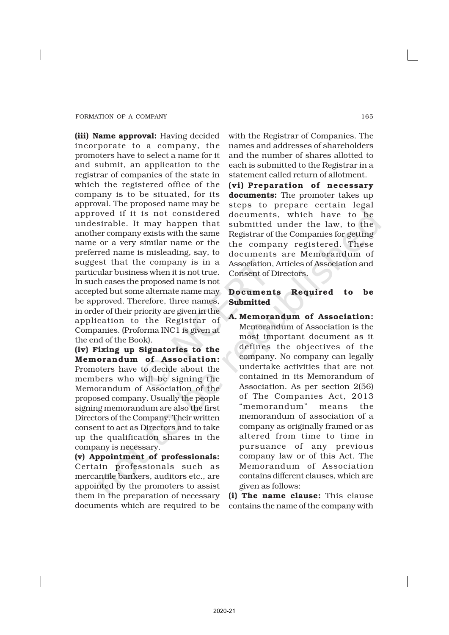(iii) Name approval: Having decided incorporate to a company, the promoters have to select a name for it and submit, an application to the registrar of companies of the state in which the registered office of the company is to be situated, for its approval. The proposed name may be approved if it is not considered undesirable. It may happen that another company exists with the same name or a very similar name or the preferred name is misleading, say, to suggest that the company is in a particular business when it is not true. In such cases the proposed name is not accepted but some alternate name may be approved. Therefore, three names, in order of their priority are given in the application to the Registrar of Companies. (Proforma INC1 is given at the end of the Book).

(iv) Fixing up Signatories to the Memorandum of Association: Promoters have to decide about the members who will be signing the Memorandum of Association of the proposed company. Usually the people signing memorandum are also the first Directors of the Company. Their written consent to act as Directors and to take up the qualification shares in the company is necessary.

(v) Appointment of professionals: Certain professionals such as mercantile bankers, auditors etc., are appointed by the promoters to assist them in the preparation of necessary documents which are required to be

with the Registrar of Companies. The names and addresses of shareholders and the number of shares allotted to each is submitted to the Registrar in a statement called return of allotment.

(vi) Preparation of necessary documents: The promoter takes up steps to prepare certain legal documents, which have to be submitted under the law, to the Registrar of the Companies for getting the company registered. These documents are Memorandum of Association, Articles of Association and Consent of Directors.

## Documents Required to be Submitted

A. Memorandum of Association: Memorandum of Association is the most important document as it defines the objectives of the company. No company can legally undertake activities that are not contained in its Memorandum of Association. As per section 2(56) of The Companies Act, 2013 "memorandum" means the memorandum of association of a company as originally framed or as altered from time to time in pursuance of any previous company law or of this Act. The Memorandum of Association contains different clauses, which are given as follows:

(i) The name clause: This clause contains the name of the company with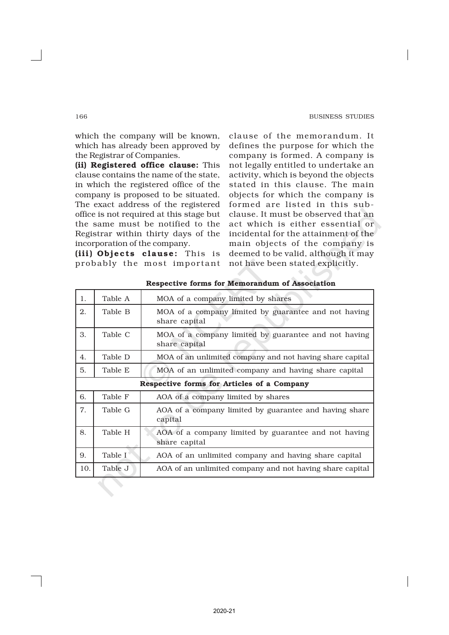clause of the memorandum. It defines the purpose for which the company is formed. A company is not legally entitled to undertake an activity, which is beyond the objects stated in this clause. The main objects for which the company is formed are listed in this subclause. It must be observed that an act which is either essential or incidental for the attainment of the

which the company will be known, which has already been approved by the Registrar of Companies.

(ii) Registered office clause: This clause contains the name of the state, in which the registered office of the company is proposed to be situated. The exact address of the registered office is not required at this stage but the same must be notified to the Registrar within thirty days of the incorporation of the company.

|     |                                            | incorporation of the company.<br>main objects of the company is                                                                         |  |  |  |  |
|-----|--------------------------------------------|-----------------------------------------------------------------------------------------------------------------------------------------|--|--|--|--|
|     |                                            | (iii) Objects clause: This is<br>deemed to be valid, although it may<br>not have been stated explicitly.<br>probably the most important |  |  |  |  |
|     |                                            | Respective forms for Memorandum of Association                                                                                          |  |  |  |  |
| 1.  | Table A                                    | MOA of a company limited by shares                                                                                                      |  |  |  |  |
| 2.  | Table B                                    | MOA of a company limited by guarantee and not having<br>share capital                                                                   |  |  |  |  |
| 3.  | Table C                                    | MOA of a company limited by guarantee and not having<br>share capital                                                                   |  |  |  |  |
| 4.  | Table D                                    | MOA of an unlimited company and not having share capital                                                                                |  |  |  |  |
| 5.  | Table E                                    | MOA of an unlimited company and having share capital                                                                                    |  |  |  |  |
|     | Respective forms for Articles of a Company |                                                                                                                                         |  |  |  |  |
| 6.  | Table F                                    | AOA of a company limited by shares                                                                                                      |  |  |  |  |
| 7.  | Table G                                    | AOA of a company limited by guarantee and having share<br>capital                                                                       |  |  |  |  |
| 8.  | Table H                                    | AOA of a company limited by guarantee and not having<br>share capital                                                                   |  |  |  |  |
| 9.  | Table I                                    | AOA of an unlimited company and having share capital                                                                                    |  |  |  |  |
| 10. | Table J                                    | AOA of an unlimited company and not having share capital                                                                                |  |  |  |  |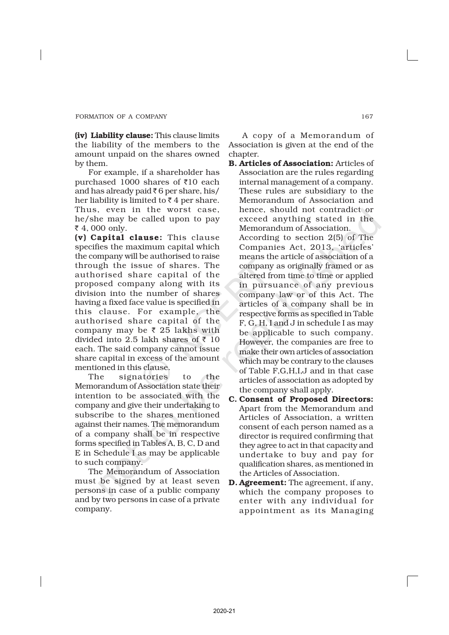(iv) Liability clause: This clause limits the liability of the members to the amount unpaid on the shares owned by them.

For example, if a shareholder has purchased 1000 shares of  $\bar{\tau}10$  each and has already paid  $\bar{\tau}$  6 per share, his/ her liability is limited to  $\bar{\tau}$  4 per share. Thus, even in the worst case, he/she may be called upon to pay ₹ 4, 000 only.

(v) Capital clause: This clause specifies the maximum capital which the company will be authorised to raise through the issue of shares. The authorised share capital of the proposed company along with its division into the number of shares having a fixed face value is specified in this clause. For example, the authorised share capital of the company may be  $\bar{\tau}$  25 lakhs with divided into 2.5 lakh shares of  $\bar{\tau}$  10 each. The said company cannot issue share capital in excess of the amount mentioned in this clause.

The signatories to the Memorandum of Association state their intention to be associated with the company and give their undertaking to subscribe to the shares mentioned against their names. The memorandum of a company shall be in respective forms specified in Tables A, B, C, D and E in Schedule I as may be applicable to such company.

The Memorandum of Association must be signed by at least seven persons in case of a public company and by two persons in case of a private company.

A copy of a Memorandum of Association is given at the end of the chapter.

B. Articles of Association: Articles of Association are the rules regarding internal management of a company. These rules are subsidiary to the Memorandum of Association and hence, should not contradict or exceed anything stated in the Memorandum of Association.

According to section 2(5) of The Companies Act, 2013, 'articles' means the article of association of a company as originally framed or as altered from time to time or applied in pursuance of any previous company law or of this Act. The articles of a company shall be in respective forms as specified in Table F, G, H, I and J in schedule I as may be applicable to such company. However, the companies are free to make their own articles of association which may be contrary to the clauses of Table F,G,H,I,J and in that case articles of association as adopted by the company shall apply.

- C. Consent of Proposed Directors: Apart from the Memorandum and Articles of Association, a written consent of each person named as a director is required confirming that they agree to act in that capacity and undertake to buy and pay for qualification shares, as mentioned in the Articles of Association.
- D. Agreement: The agreement, if any, which the company proposes to enter with any individual for appointment as its Managing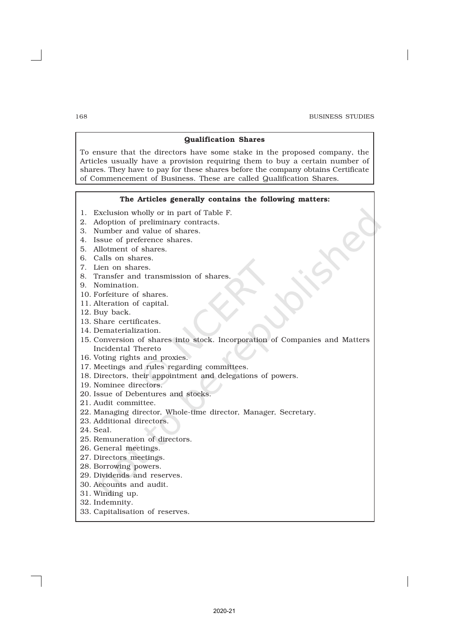#### Qualification Shares

To ensure that the directors have some stake in the proposed company, the Articles usually have a provision requiring them to buy a certain number of shares. They have to pay for these shares before the company obtains Certificate of Commencement of Business. These are called Qualification Shares.

### The Articles generally contains the following matters:

- 1. Exclusion wholly or in part of Table F.
- 2. Adoption of preliminary contracts.
- 3. Number and value of shares.
- 4. Issue of preference shares.
- 5. Allotment of shares.
- 6. Calls on shares.
- 7. Lien on shares.
- 8. Transfer and transmission of shares.
- 9. Nomination.
- 10. Forfeiture of shares.
- 11. Alteration of capital.
- 12. Buy back.
- 13. Share certificates.
- 14. Dematerialization.
- 15. Conversion of shares into stock. Incorporation of Companies and Matters Incidental Thereto
- 16. Voting rights and proxies.
- 17. Meetings and rules regarding committees.
- 18. Directors, their appointment and delegations of powers.
- 19. Nominee directors.
- 20. Issue of Debentures and stocks.
- 21. Audit committee.
- 22. Managing director, Whole-time director, Manager, Secretary.
- 23. Additional directors.
- 24. Seal.
- 25. Remuneration of directors.
- 26. General meetings.
- 27. Directors meetings.
- 28. Borrowing powers.
- 29. Dividends and reserves.
- 30. Accounts and audit.
- 31. Winding up.
- 32. Indemnity.
- 33. Capitalisation of reserves.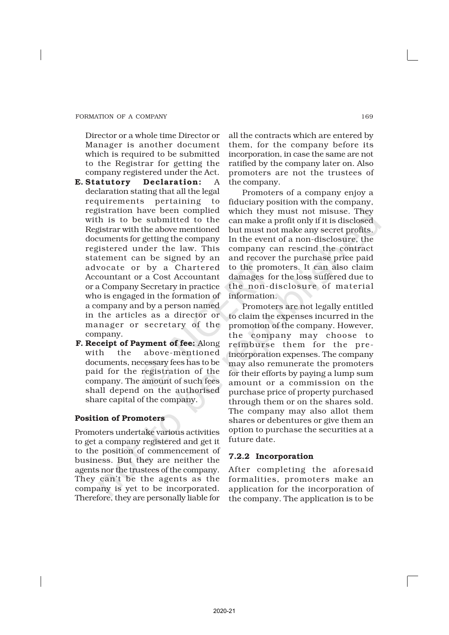Director or a whole time Director or Manager is another document which is required to be submitted to the Registrar for getting the company registered under the Act.

- E. Statutory Declaration: A declaration stating that all the legal requirements pertaining to registration have been complied with is to be submitted to the Registrar with the above mentioned documents for getting the company registered under the law. This statement can be signed by an advocate or by a Chartered Accountant or a Cost Accountant or a Company Secretary in practice who is engaged in the formation of a company and by a person named in the articles as a director or manager or secretary of the company.
- F. Receipt of Payment of fee: Along with the above-mentioned documents, necessary fees has to be paid for the registration of the company. The amount of such fees shall depend on the authorised share capital of the company.

## Position of Promoters

Promoters undertake various activities to get a company registered and get it to the position of commencement of business. But they are neither the agents nor the trustees of the company. They can't be the agents as the company is yet to be incorporated. Therefore, they are personally liable for

all the contracts which are entered by them, for the company before its incorporation, in case the same are not ratified by the company later on. Also promoters are not the trustees of the company.

Promoters of a company enjoy a fiduciary position with the company, which they must not misuse. They can make a profit only if it is disclosed but must not make any secret profits. In the event of a non-disclosure, the company can rescind the contract and recover the purchase price paid to the promoters. It can also claim damages for the loss suffered due to the non-disclosure of material information.

Promoters are not legally entitled to claim the expenses incurred in the promotion of the company. However, the company may choose to reimburse them for the preincorporation expenses. The company may also remunerate the promoters for their efforts by paying a lump sum amount or a commission on the purchase price of property purchased through them or on the shares sold. The company may also allot them shares or debentures or give them an option to purchase the securities at a future date.

## 7.2.2 Incorporation

After completing the aforesaid formalities, promoters make an application for the incorporation of the company. The application is to be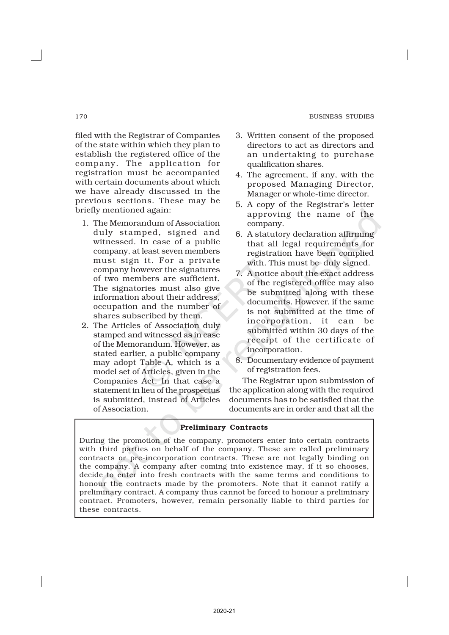#### 170 BUSINESS STUDIES

filed with the Registrar of Companies of the state within which they plan to establish the registered office of the company. The application for registration must be accompanied with certain documents about which we have already discussed in the previous sections. These may be briefly mentioned again:

- 1. The Memorandum of Association duly stamped, signed and witnessed. In case of a public company, at least seven members must sign it. For a private company however the signatures of two members are sufficient. The signatories must also give information about their address, occupation and the number of shares subscribed by them.
- 2. The Articles of Association duly stamped and witnessed as in case of the Memorandum. However, as stated earlier, a public company may adopt Table A, which is a model set of Articles, given in the Companies Act. In that case a statement in lieu of the prospectus is submitted, instead of Articles of Association.
- 3. Written consent of the proposed directors to act as directors and an undertaking to purchase qualification shares.
- 4. The agreement, if any, with the proposed Managing Director, Manager or whole-time director.
- 5. A copy of the Registrar's letter approving the name of the company.
- 6. A statutory declaration affirming that all legal requirements for registration have been complied with. This must be duly signed.
- 7. A notice about the exact address of the registered office may also be submitted along with these documents. However, if the same is not submitted at the time of incorporation, it can be submitted within 30 days of the receipt of the certificate of incorporation.
- 8. Documentary evidence of payment of registration fees.

The Registrar upon submission of the application along with the required documents has to be satisfied that the documents are in order and that all the

## Preliminary Contracts

During the promotion of the company, promoters enter into certain contracts with third parties on behalf of the company. These are called preliminary contracts or pre-incorporation contracts. These are not legally binding on the company. A company after coming into existence may, if it so chooses, decide to enter into fresh contracts with the same terms and conditions to honour the contracts made by the promoters. Note that it cannot ratify a preliminary contract. A company thus cannot be forced to honour a preliminary contract. Promoters, however, remain personally liable to third parties for these contracts.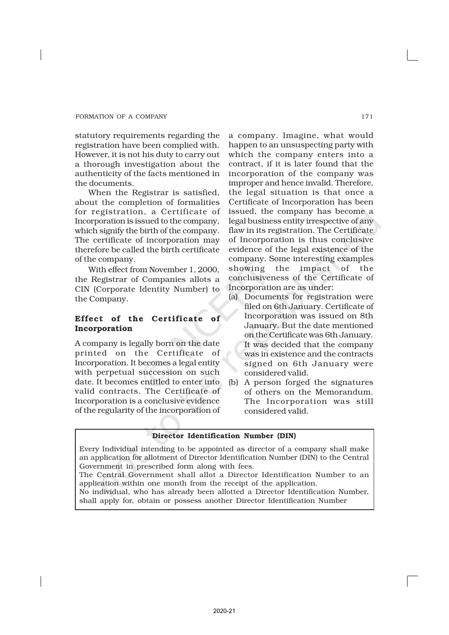statutory requirements regarding the registration have been complied with. However, it is not his duty to carry out a thorough investigation about the authenticity of the facts mentioned in the documents.

When the Registrar is satisfied, about the completion of formalities for registration, a Certificate of Incorporation is issued to the company, which signify the birth of the company. The certificate of incorporation may therefore be called the birth certificate of the company.

With effect from November 1, 2000, the Registrar of Companies allots a CIN (Corporate Identity Number) to the Company.

## Effect of the Certificate of Incorporation

A company is legally born on the date printed on the Certificate of Incorporation. It becomes a legal entity with perpetual succession on such date. It becomes entitled to enter into valid contracts. The Certificate of Incorporation is a conclusive evidence of the regularity of the incorporation of

a company. Imagine, what would happen to an unsuspecting party with which the company enters into a contract, if it is later found that the incorporation of the company was improper and hence invalid. Therefore, the legal situation is that once a Certificate of Incorporation has been issued, the company has become a legal business entity irrespective of any flaw in its registration. The Certificate of Incorporation is thus conclusive evidence of the legal existence of the company. Some interesting examples showing the impact of the conclusiveness of the Certificate of Incorporation are as under:

- (a) Documents for registration were filed on 6th January. Certificate of Incorporation was issued on 8th January. But the date mentioned on the Certificate was 6th January. It was decided that the company was in existence and the contracts signed on 6th January were considered valid.
- (b) A person forged the signatures of others on the Memorandum. The Incorporation was still considered valid.

## Director Identification Number (DIN)

Every Individual intending to be appointed as director of a company shall make an application for allotment of Director Identification Number (DIN) to the Central Government in prescribed form along with fees.

The Central Government shall allot a Director Identification Number to an application within one month from the receipt of the application.

No individual, who has already been allotted a Director Identification Number, shall apply for, obtain or possess another Director Identification Number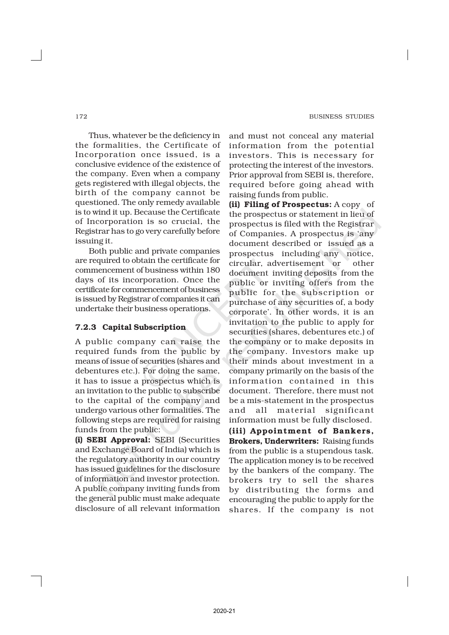Thus, whatever be the deficiency in the formalities, the Certificate of Incorporation once issued, is a conclusive evidence of the existence of the company. Even when a company gets registered with illegal objects, the birth of the company cannot be questioned. The only remedy available is to wind it up. Because the Certificate of Incorporation is so crucial, the Registrar has to go very carefully before issuing it.

Both public and private companies are required to obtain the certificate for commencement of business within 180 days of its incorporation. Once the certificate for commencement of business is issued by Registrar of companies it can undertake their business operations.

## 7.2.3 Capital Subscription

A public company can raise the required funds from the public by means of issue of securities (shares and debentures etc.). For doing the same, it has to issue a prospectus which is an invitation to the public to subscribe to the capital of the company and undergo various other formalities. The following steps are required for raising funds from the public:

(i) SEBI Approval: SEBI (Securities and Exchange Board of India) which is the regulatory authority in our country has issued guidelines for the disclosure of information and investor protection. A public company inviting funds from the general public must make adequate disclosure of all relevant information and must not conceal any material information from the potential investors. This is necessary for protecting the interest of the investors. Prior approval from SEBI is, therefore, required before going ahead with raising funds from public.

(ii) Filing of Prospectus: A copy of the prospectus or statement in lieu of prospectus is filed with the Registrar of Companies. A prospectus is 'any document described or issued as a prospectus including any notice, circular, advertisement or other document inviting deposits from the public or inviting offers from the public for the subscription or purchase of any securities of, a body corporate'. In other words, it is an invitation to the public to apply for securities (shares, debentures etc.) of the company or to make deposits in the company. Investors make up their minds about investment in a company primarily on the basis of the information contained in this document. Therefore, there must not be a mis-statement in the prospectus and all material significant information must be fully disclosed.

(iii) Appointment of Bankers, Brokers, Underwriters: Raising funds from the public is a stupendous task. The application money is to be received by the bankers of the company. The brokers try to sell the shares by distributing the forms and encouraging the public to apply for the shares. If the company is not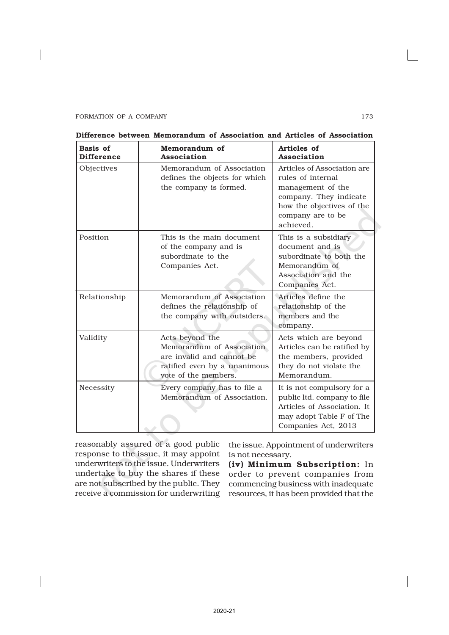| <b>Basis of</b><br><b>Difference</b> | Memorandum of<br>Association                                                                                                      | Articles of<br>Association                                                                                                                                     |
|--------------------------------------|-----------------------------------------------------------------------------------------------------------------------------------|----------------------------------------------------------------------------------------------------------------------------------------------------------------|
| Objectives                           | Memorandum of Association<br>defines the objects for which<br>the company is formed.                                              | Articles of Association are<br>rules of internal<br>management of the<br>company. They indicate<br>how the objectives of the<br>company are to be<br>achieved. |
| Position                             | This is the main document<br>of the company and is<br>subordinate to the<br>Companies Act.                                        | This is a subsidiary<br>document and is<br>subordinate to both the<br>Memorandum of<br>Association and the<br>Companies Act.                                   |
| Relationship                         | Memorandum of Association<br>defines the relationship of<br>the company with outsiders.                                           | Articles define the<br>relationship of the<br>members and the<br>company.                                                                                      |
| Validity                             | Acts beyond the<br>Memorandum of Association<br>are invalid and cannot be<br>ratified even by a unanimous<br>vote of the members. | Acts which are beyond<br>Articles can be ratified by<br>the members, provided<br>they do not violate the<br>Memorandum.                                        |
| Necessity                            | Every company has to file a<br>Memorandum of Association.                                                                         | It is not compulsory for a<br>public ltd. company to file<br>Articles of Association. It<br>may adopt Table F of The<br>Companies Act, 2013                    |

| Difference between Memorandum of Association and Articles of Association |
|--------------------------------------------------------------------------|
|--------------------------------------------------------------------------|

reasonably assured of a good public response to the issue, it may appoint underwriters to the issue. Underwriters undertake to buy the shares if these are not subscribed by the public. They receive a commission for underwriting

the issue. Appointment of underwriters is not necessary.

(iv) Minimum Subscription: In order to prevent companies from commencing business with inadequate resources, it has been provided that the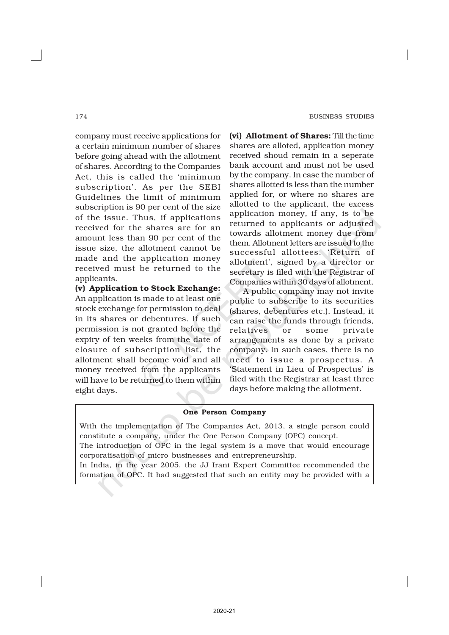company must receive applications for a certain minimum number of shares before going ahead with the allotment of shares. According to the Companies Act, this is called the 'minimum subscription'. As per the SEBI Guidelines the limit of minimum subscription is 90 per cent of the size of the issue. Thus, if applications received for the shares are for an amount less than 90 per cent of the issue size, the allotment cannot be made and the application money received must be returned to the applicants.

(v) Application to Stock Exchange: An application is made to at least one stock exchange for permission to deal in its shares or debentures. If such permission is not granted before the expiry of ten weeks from the date of closure of subscription list, the allotment shall become void and all money received from the applicants will have to be returned to them within eight days.

(vi) Allotment of Shares: Till the time shares are alloted, application money received shoud remain in a seperate bank account and must not be used by the company. In case the number of shares allotted is less than the number applied for, or where no shares are allotted to the applicant, the excess application money, if any, is to be returned to applicants or adjusted towards allotment money due from them. Allotment letters are issued to the successful allottees. 'Return of allotment', signed by a director or secretary is filed with the Registrar of Companies within 30 days of allotment.

A public company may not invite public to subscribe to its securities (shares, debentures etc.). Instead, it can raise the funds through friends, relatives or some private arrangements as done by a private company. In such cases, there is no need to issue a prospectus. A 'Statement in Lieu of Prospectus' is filed with the Registrar at least three days before making the allotment.

## One Person Company

With the implementation of The Companies Act, 2013, a single person could constitute a company, under the One Person Company (OPC) concept.

The introduction of OPC in the legal system is a move that would encourage corporatisation of micro businesses and entrepreneurship.

In India, in the year 2005, the JJ Irani Expert Committee recommended the formation of OPC. It had suggested that such an entity may be provided with a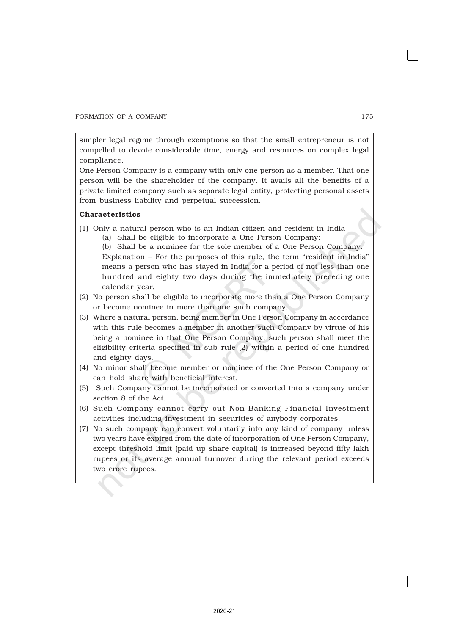simpler legal regime through exemptions so that the small entrepreneur is not compelled to devote considerable time, energy and resources on complex legal compliance.

One Person Company is a company with only one person as a member. That one person will be the shareholder of the company. It avails all the benefits of a private limited company such as separate legal entity, protecting personal assets from business liability and perpetual succession.

## Characteristics

- (1) Only a natural person who is an Indian citizen and resident in India-
	- (a) Shall be eligible to incorporate a One Person Company;
	- (b) Shall be a nominee for the sole member of a One Person Company. Explanation – For the purposes of this rule, the term "resident in India" means a person who has stayed in India for a period of not less than one hundred and eighty two days during the immediately preceding one calendar year.
- (2) No person shall be eligible to incorporate more than a One Person Company or become nominee in more than one such company.
- (3) Where a natural person, being member in One Person Company in accordance with this rule becomes a member in another such Company by virtue of his being a nominee in that One Person Company, such person shall meet the eligibility criteria specified in sub rule (2) within a period of one hundred and eighty days.
- (4) No minor shall become member or nominee of the One Person Company or can hold share with beneficial interest.
- (5) Such Company cannot be incorporated or converted into a company under section 8 of the Act.
- (6) Such Company cannot carry out Non-Banking Financial Investment activities including investment in securities of anybody corporates.
- (7) No such company can convert voluntarily into any kind of company unless two years have expired from the date of incorporation of One Person Company, except threshold limit (paid up share capital) is increased beyond fifty lakh rupees or its average annual turnover during the relevant period exceeds two crore rupees.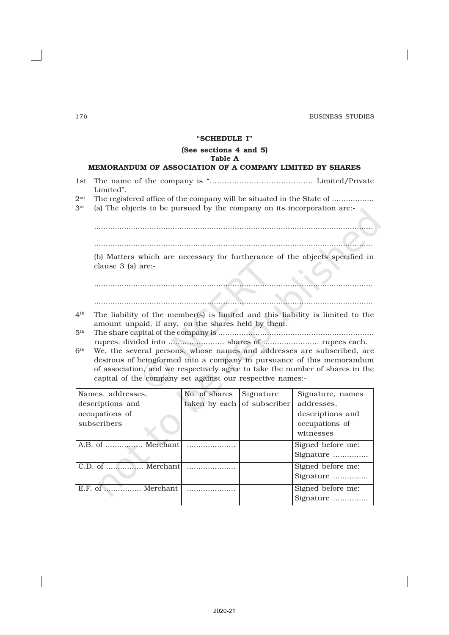#### 176 BUSINESS STUDIES

## "SCHEDULE I"

## (See sections 4 and 5)

## Table A

## MEMORANDUM OF ASSOCIATION OF A COMPANY LIMITED BY SHARES

- 1st The name of the company is ".......................................... Limited/Private Limited".
- $2<sub>nd</sub>$ The registered office of the company will be situated in the State of ..................
- 3rd (a) The objects to be pursued by the company on its incorporation are:- $\triangle$

......................................................................................................................... .........................................................................................................................

(b) Matters which are necessary for furtherance of the objects specified in

clause 3 (a) are:-

......................................................................................................................... .........................................................................................................................

- $4<sup>th</sup>$ The liability of the member(s) is limited and this liability is limited to the amount unpaid, if any, on the shares held by them.
- $5<sup>th</sup>$ th The share capital of the company is ................................................................... rupees, divided into ........................ shares of ........................ rupees each.
- $6<sup>th</sup>$ We, the several persons, whose names and addresses are subscribed, are desirous of beingformed into a company in pursuance of this memorandum of association, and we respectively agree to take the number of shares in the capital of the company set against our respective names:-

| Names, addresses, | No. of shares               | Signature | Signature, names  |
|-------------------|-----------------------------|-----------|-------------------|
| descriptions and  | taken by each of subscriber |           | addresses.        |
| occupations of    |                             |           | descriptions and  |
| subscribers       |                             |           | occupations of    |
|                   |                             |           | witnesses         |
| A.B. of  Merchant |                             |           | Signed before me: |
|                   |                             |           | Signature         |
| C.D. of  Merchant |                             |           | Signed before me: |
|                   |                             |           | Signature         |
| E.F. of  Merchant |                             |           | Signed before me: |
|                   |                             |           | Signature         |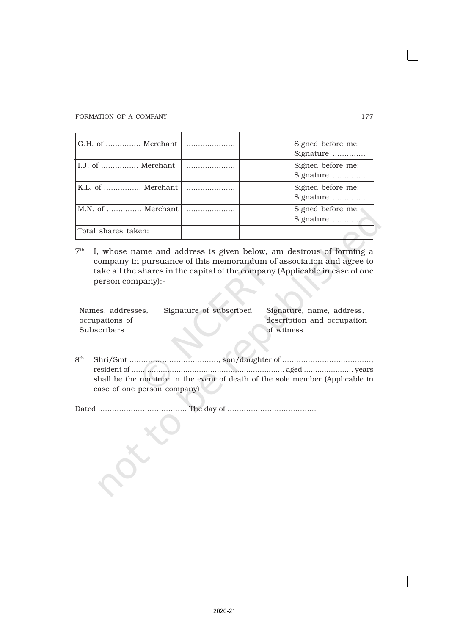| G.H. of  Merchant     |   | Signed before me:<br>Signature |
|-----------------------|---|--------------------------------|
| I.J. of  Merchant     | . | Signed before me:<br>Signature |
| K.L. of  Merchant     |   | Signed before me:<br>Signature |
| M.N. of  Merchant     |   | Signed before me:<br>Signature |
| l Total shares taken: |   |                                |

 $7<sup>th</sup>$ I, whose name and address is given below, am desirous of forming a company in pursuance of this memorandum of association and agree to take all the shares in the capital of the company (Applicable in case of one person company):-

| Names, addresses, | Signature of subscribed | Signature, name, address,  |
|-------------------|-------------------------|----------------------------|
| occupations of    |                         | description and occupation |
| Subscribers       |                         | of witness                 |

\_\_\_\_\_\_\_\_\_\_\_\_\_\_\_\_\_\_\_\_\_\_\_\_\_\_\_\_\_\_\_\_\_\_\_\_\_\_\_\_\_\_\_\_\_\_\_\_\_\_\_\_\_\_\_\_\_\_\_\_\_\_\_\_\_\_\_\_\_\_\_\_\_\_\_\_\_\_\_\_\_\_\_ th Shri/Smt ......................................, son/daughter of ......................................, 8<sup>th</sup> resident of .................................................................... aged ...................... years shall be the nominee in the event of death of the sole member (Applicable in case of one person company)

Dated ...................................... The day of ......................................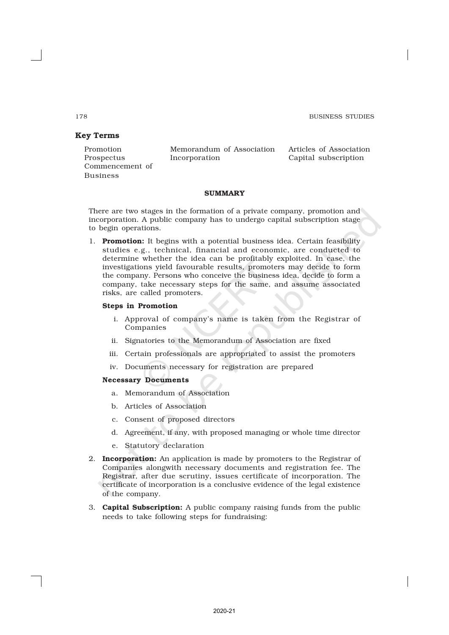## Key Terms

Commencement of Business

Promotion Memorandum of Association Articles of Association Prospectus Incorporation Capital subscription

## **SUMMARY**

There are two stages in the formation of a private company, promotion and incorporation. A public company has to undergo capital subscription stage to begin operations.

1. **Promotion:** It begins with a potential business idea. Certain feasibility studies e.g., technical, financial and economic, are conducted to determine whether the idea can be profitably exploited. In case, the investigations yield favourable results, promoters may decide to form the company. Persons who conceive the business idea, decide to form a company, take necessary steps for the same, and assume associated risks, are called promoters.

## Steps in Promotion

- i. Approval of company's name is taken from the Registrar of Companies
- ii. Signatories to the Memorandum of Association are fixed
- iii. Certain professionals are appropriated to assist the promoters
- iv. Documents necessary for registration are prepared

#### Necessary Documents

- a. Memorandum of Association
- b. Articles of Association
- c. Consent of proposed directors
- d. Agreement, if any, with proposed managing or whole time director
- e. Statutory declaration
- 2. **Incorporation:** An application is made by promoters to the Registrar of Companies alongwith necessary documents and registration fee. The Registrar, after due scrutiny, issues certificate of incorporation. The certificate of incorporation is a conclusive evidence of the legal existence of the company.
- 3. Capital Subscription: A public company raising funds from the public needs to take following steps for fundraising:

2020-21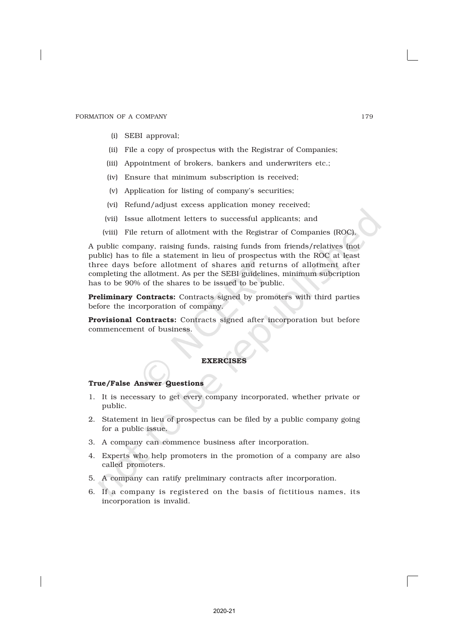- (i) SEBI approval;
- (ii) File a copy of prospectus with the Registrar of Companies;
- (iii) Appointment of brokers, bankers and underwriters etc.;
- (iv) Ensure that minimum subscription is received;
- (v) Application for listing of company's securities;
- (vi) Refund/adjust excess application money received;
- (vii) Issue allotment letters to successful applicants; and
- (viii) File return of allotment with the Registrar of Companies (ROC).

A public company, raising funds, raising funds from friends/relatives (not public) has to file a statement in lieu of prospectus with the ROC at least three days before allotment of shares and returns of allotment after completing the allotment. As per the SEBI guidelines, minimum subcription has to be 90% of the shares to be issued to be public.

Preliminary Contracts: Contracts signed by promoters with third parties before the incorporation of company.

Provisional Contracts: Contracts signed after incorporation but before commencement of business.

## **EXERCISES**

## True/False Answer Questions

- 1. It is necessary to get every company incorporated, whether private or public.
- 2. Statement in lieu of prospectus can be filed by a public company going for a public issue.
- 3. A company can commence business after incorporation.
- 4. Experts who help promoters in the promotion of a company are also called promoters.
- 5. A company can ratify preliminary contracts after incorporation.
- 6. If a company is registered on the basis of fictitious names, its incorporation is invalid.